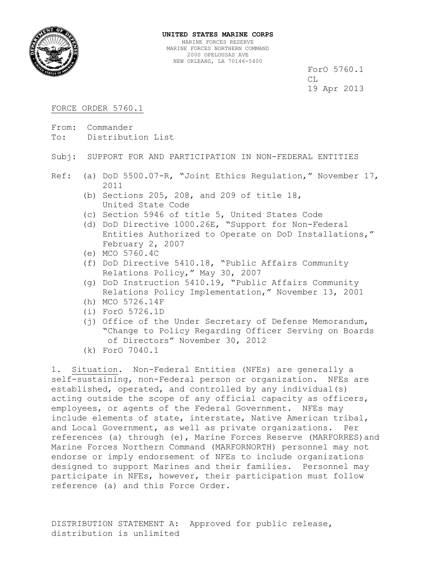

ForO 5760.1 CL 19 Apr 2013

## FORCE ORDER 5760.1

- From: Commander
- To: Distribution List
- Subj: SUPPORT FOR AND PARTICIPATION IN NON-FEDERAL ENTITIES
- Ref: (a) DoD 5500.07-R, "Joint Ethics Regulation," November 17, 2011
	- (b) Sections 205, 208, and 209 of title 18, United State Code
	- (c) Section 5946 of title 5, United States Code
	- (d) DoD Directive 1000.26E, "Support for Non-Federal Entities Authorized to Operate on DoD Installations," February 2, 2007
	- (e) MCO 5760.4C
	- (f) DoD Directive 5410.18, "Public Affairs Community Relations Policy," May 30, 2007
	- (g) DoD Instruction 5410.19, "Public Affairs Community Relations Policy Implementation," November 13, 2001
	- (h) MCO 5726.14F
	- (i) ForO 5726.1D
	- (j) Office of the Under Secretary of Defense Memorandum, "Change to Policy Regarding Officer Serving on Boards of Directors" November 30, 2012
	- (k) ForO 7040.1

1. Situation. Non-Federal Entities (NFEs) are generally a self-sustaining, non-Federal person or organization. NFEs are established, operated, and controlled by any individual(s) acting outside the scope of any official capacity as officers, employees, or agents of the Federal Government. NFEs may include elements of state, interstate, Native American tribal, and Local Government, as well as private organizations. Per references (a) through (e), Marine Forces Reserve (MARFORRES)and Marine Forces Northern Command (MARFORNORTH) personnel may not endorse or imply endorsement of NFEs to include organizations designed to support Marines and their families. Personnel may participate in NFEs, however, their participation must follow reference (a) and this Force Order.

DISTRIBUTION STATEMENT A: Approved for public release, distribution is unlimited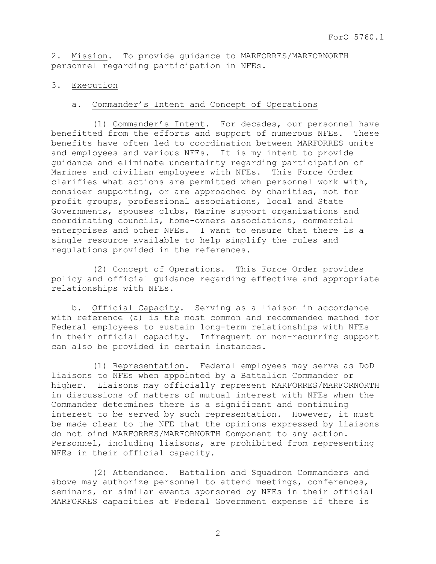2. Mission. To provide guidance to MARFORRES/MARFORNORTH personnel regarding participation in NFEs.

## 3. Execution

## a. Commander's Intent and Concept of Operations

 (1) Commander's Intent. For decades, our personnel have benefitted from the efforts and support of numerous NFEs. These benefits have often led to coordination between MARFORRES units and employees and various NFEs. It is my intent to provide guidance and eliminate uncertainty regarding participation of Marines and civilian employees with NFEs. This Force Order clarifies what actions are permitted when personnel work with, consider supporting, or are approached by charities, not for profit groups, professional associations, local and State Governments, spouses clubs, Marine support organizations and coordinating councils, home-owners associations, commercial enterprises and other NFEs. I want to ensure that there is a single resource available to help simplify the rules and regulations provided in the references.

 (2) Concept of Operations. This Force Order provides policy and official guidance regarding effective and appropriate relationships with NFEs.

 b. Official Capacity. Serving as a liaison in accordance with reference (a) is the most common and recommended method for Federal employees to sustain long-term relationships with NFEs in their official capacity. Infrequent or non-recurring support can also be provided in certain instances.

 (1) Representation. Federal employees may serve as DoD liaisons to NFEs when appointed by a Battalion Commander or higher. Liaisons may officially represent MARFORRES/MARFORNORTH in discussions of matters of mutual interest with NFEs when the Commander determines there is a significant and continuing interest to be served by such representation. However, it must be made clear to the NFE that the opinions expressed by liaisons do not bind MARFORRES/MARFORNORTH Component to any action. Personnel, including liaisons, are prohibited from representing NFEs in their official capacity.

 (2) Attendance. Battalion and Squadron Commanders and above may authorize personnel to attend meetings, conferences, seminars, or similar events sponsored by NFEs in their official MARFORRES capacities at Federal Government expense if there is

2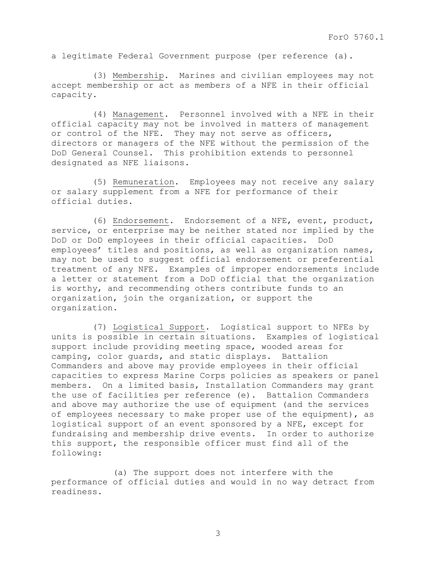a legitimate Federal Government purpose (per reference (a).

 (3) Membership. Marines and civilian employees may not accept membership or act as members of a NFE in their official capacity.

 (4) Management. Personnel involved with a NFE in their official capacity may not be involved in matters of management or control of the NFE. They may not serve as officers, directors or managers of the NFE without the permission of the DoD General Counsel. This prohibition extends to personnel designated as NFE liaisons.

 (5) Remuneration. Employees may not receive any salary or salary supplement from a NFE for performance of their official duties.

 (6) Endorsement. Endorsement of a NFE, event, product, service, or enterprise may be neither stated nor implied by the DoD or DoD employees in their official capacities. DoD employees' titles and positions, as well as organization names, may not be used to suggest official endorsement or preferential treatment of any NFE. Examples of improper endorsements include a letter or statement from a DoD official that the organization is worthy, and recommending others contribute funds to an organization, join the organization, or support the organization.

 (7) Logistical Support. Logistical support to NFEs by units is possible in certain situations. Examples of logistical support include providing meeting space, wooded areas for camping, color guards, and static displays. Battalion Commanders and above may provide employees in their official capacities to express Marine Corps policies as speakers or panel members. On a limited basis, Installation Commanders may grant the use of facilities per reference (e). Battalion Commanders and above may authorize the use of equipment (and the services of employees necessary to make proper use of the equipment), as logistical support of an event sponsored by a NFE, except for fundraising and membership drive events. In order to authorize this support, the responsible officer must find all of the following:

 (a) The support does not interfere with the performance of official duties and would in no way detract from readiness.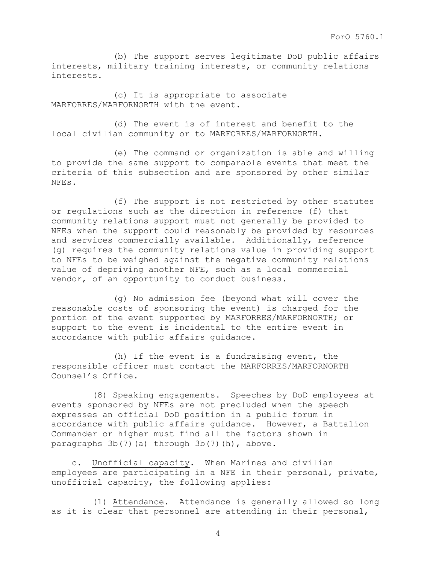(b) The support serves legitimate DoD public affairs interests, military training interests, or community relations interests.

 (c) It is appropriate to associate MARFORRES/MARFORNORTH with the event.

 (d) The event is of interest and benefit to the local civilian community or to MARFORRES/MARFORNORTH.

 (e) The command or organization is able and willing to provide the same support to comparable events that meet the criteria of this subsection and are sponsored by other similar NFEs.

 (f) The support is not restricted by other statutes or regulations such as the direction in reference (f) that community relations support must not generally be provided to NFEs when the support could reasonably be provided by resources and services commercially available. Additionally, reference (g) requires the community relations value in providing support to NFEs to be weighed against the negative community relations value of depriving another NFE, such as a local commercial vendor, of an opportunity to conduct business.

 (g) No admission fee (beyond what will cover the reasonable costs of sponsoring the event) is charged for the portion of the event supported by MARFORRES/MARFORNORTH; or support to the event is incidental to the entire event in accordance with public affairs guidance.

 (h) If the event is a fundraising event, the responsible officer must contact the MARFORRES/MARFORNORTH Counsel's Office.

 (8) Speaking engagements. Speeches by DoD employees at events sponsored by NFEs are not precluded when the speech expresses an official DoD position in a public forum in accordance with public affairs guidance. However, a Battalion Commander or higher must find all the factors shown in paragraphs 3b(7)(a) through 3b(7)(h), above.

 c. Unofficial capacity. When Marines and civilian employees are participating in a NFE in their personal, private, unofficial capacity, the following applies:

 (1) Attendance. Attendance is generally allowed so long as it is clear that personnel are attending in their personal,

4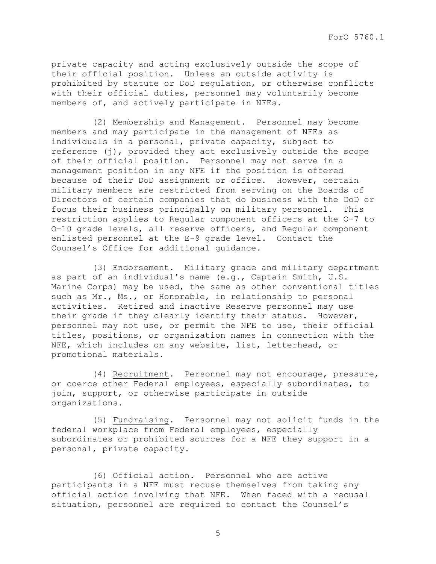private capacity and acting exclusively outside the scope of their official position. Unless an outside activity is prohibited by statute or DoD regulation, or otherwise conflicts with their official duties, personnel may voluntarily become members of, and actively participate in NFEs.

 (2) Membership and Management. Personnel may become members and may participate in the management of NFEs as individuals in a personal, private capacity, subject to reference (j), provided they act exclusively outside the scope of their official position. Personnel may not serve in a management position in any NFE if the position is offered because of their DoD assignment or office. However, certain military members are restricted from serving on the Boards of Directors of certain companies that do business with the DoD or focus their business principally on military personnel. This restriction applies to Regular component officers at the O-7 to O-10 grade levels, all reserve officers, and Regular component enlisted personnel at the E-9 grade level. Contact the Counsel's Office for additional guidance.

 (3) Endorsement. Military grade and military department as part of an individual's name (e.g., Captain Smith, U.S. Marine Corps) may be used, the same as other conventional titles such as Mr., Ms., or Honorable, in relationship to personal activities. Retired and inactive Reserve personnel may use their grade if they clearly identify their status. However, personnel may not use, or permit the NFE to use, their official titles, positions, or organization names in connection with the NFE, which includes on any website, list, letterhead, or promotional materials.

 (4) Recruitment. Personnel may not encourage, pressure, or coerce other Federal employees, especially subordinates, to join, support, or otherwise participate in outside organizations.

 (5) Fundraising. Personnel may not solicit funds in the federal workplace from Federal employees, especially subordinates or prohibited sources for a NFE they support in a personal, private capacity.

 (6) Official action. Personnel who are active participants in a NFE must recuse themselves from taking any official action involving that NFE. When faced with a recusal situation, personnel are required to contact the Counsel's